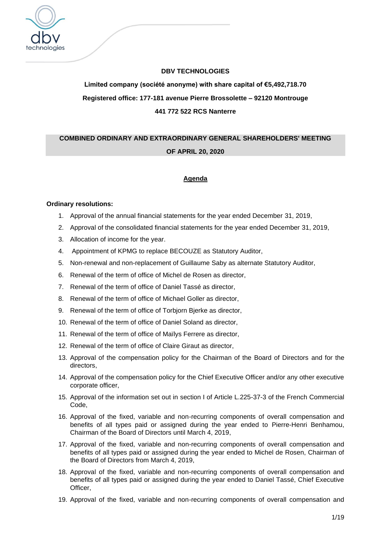

# **DBV TECHNOLOGIES**

# **Limited company (société anonyme) with share capital of €5,492,718.70 Registered office: 177-181 avenue Pierre Brossolette – 92120 Montrouge 441 772 522 RCS Nanterre**

# **COMBINED ORDINARY AND EXTRAORDINARY GENERAL SHAREHOLDERS' MEETING**

# **OF APRIL 20, 2020**

# **Agenda**

# **Ordinary resolutions:**

- 1. Approval of the annual financial statements for the year ended December 31, 2019,
- 2. Approval of the consolidated financial statements for the year ended December 31, 2019,
- 3. Allocation of income for the year.
- 4. Appointment of KPMG to replace BECOUZE as Statutory Auditor,
- 5. Non-renewal and non-replacement of Guillaume Saby as alternate Statutory Auditor,
- 6. Renewal of the term of office of Michel de Rosen as director,
- 7. Renewal of the term of office of Daniel Tassé as director,
- 8. Renewal of the term of office of Michael Goller as director,
- 9. Renewal of the term of office of Torbjorn Bjerke as director,
- 10. Renewal of the term of office of Daniel Soland as director,
- 11. Renewal of the term of office of Maïlys Ferrere as director,
- 12. Renewal of the term of office of Claire Giraut as director,
- 13. Approval of the compensation policy for the Chairman of the Board of Directors and for the directors,
- 14. Approval of the compensation policy for the Chief Executive Officer and/or any other executive corporate officer,
- 15. Approval of the information set out in section I of Article L.225-37-3 of the French Commercial Code,
- 16. Approval of the fixed, variable and non-recurring components of overall compensation and benefits of all types paid or assigned during the year ended to Pierre-Henri Benhamou, Chairman of the Board of Directors until March 4, 2019,
- 17. Approval of the fixed, variable and non-recurring components of overall compensation and benefits of all types paid or assigned during the year ended to Michel de Rosen, Chairman of the Board of Directors from March 4, 2019,
- 18. Approval of the fixed, variable and non-recurring components of overall compensation and benefits of all types paid or assigned during the year ended to Daniel Tassé, Chief Executive Officer,
- 19. Approval of the fixed, variable and non-recurring components of overall compensation and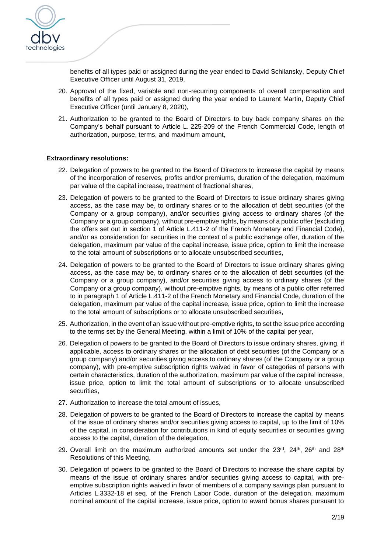

benefits of all types paid or assigned during the year ended to David Schilansky, Deputy Chief Executive Officer until August 31, 2019,

- 20. Approval of the fixed, variable and non-recurring components of overall compensation and benefits of all types paid or assigned during the year ended to Laurent Martin, Deputy Chief Executive Officer (until January 8, 2020),
- 21. Authorization to be granted to the Board of Directors to buy back company shares on the Company's behalf pursuant to Article L. 225-209 of the French Commercial Code, length of authorization, purpose, terms, and maximum amount,

#### **Extraordinary resolutions:**

- 22. Delegation of powers to be granted to the Board of Directors to increase the capital by means of the incorporation of reserves, profits and/or premiums, duration of the delegation, maximum par value of the capital increase, treatment of fractional shares,
- 23. Delegation of powers to be granted to the Board of Directors to issue ordinary shares giving access, as the case may be, to ordinary shares or to the allocation of debt securities (of the Company or a group company), and/or securities giving access to ordinary shares (of the Company or a group company), without pre-emptive rights, by means of a public offer (excluding the offers set out in section 1 of Article L.411-2 of the French Monetary and Financial Code), and/or as consideration for securities in the context of a public exchange offer, duration of the delegation, maximum par value of the capital increase, issue price, option to limit the increase to the total amount of subscriptions or to allocate unsubscribed securities,
- 24. Delegation of powers to be granted to the Board of Directors to issue ordinary shares giving access, as the case may be, to ordinary shares or to the allocation of debt securities (of the Company or a group company), and/or securities giving access to ordinary shares (of the Company or a group company), without pre-emptive rights, by means of a public offer referred to in paragraph 1 of Article L.411-2 of the French Monetary and Financial Code, duration of the delegation, maximum par value of the capital increase, issue price, option to limit the increase to the total amount of subscriptions or to allocate unsubscribed securities,
- 25. Authorization, in the event of an issue without pre-emptive rights, to set the issue price according to the terms set by the General Meeting, within a limit of 10% of the capital per year,
- 26. Delegation of powers to be granted to the Board of Directors to issue ordinary shares, giving, if applicable, access to ordinary shares or the allocation of debt securities (of the Company or a group company) and/or securities giving access to ordinary shares (of the Company or a group company), with pre-emptive subscription rights waived in favor of categories of persons with certain characteristics, duration of the authorization, maximum par value of the capital increase, issue price, option to limit the total amount of subscriptions or to allocate unsubscribed securities,
- 27. Authorization to increase the total amount of issues,
- 28. Delegation of powers to be granted to the Board of Directors to increase the capital by means of the issue of ordinary shares and/or securities giving access to capital, up to the limit of 10% of the capital, in consideration for contributions in kind of equity securities or securities giving access to the capital, duration of the delegation,
- 29. Overall limit on the maximum authorized amounts set under the  $23^{\text{rd}}$ ,  $24^{\text{th}}$ ,  $26^{\text{th}}$  and  $28^{\text{th}}$ Resolutions of this Meeting,
- 30. Delegation of powers to be granted to the Board of Directors to increase the share capital by means of the issue of ordinary shares and/or securities giving access to capital, with preemptive subscription rights waived in favor of members of a company savings plan pursuant to Articles L.3332-18 et seq. of the French Labor Code, duration of the delegation, maximum nominal amount of the capital increase, issue price, option to award bonus shares pursuant to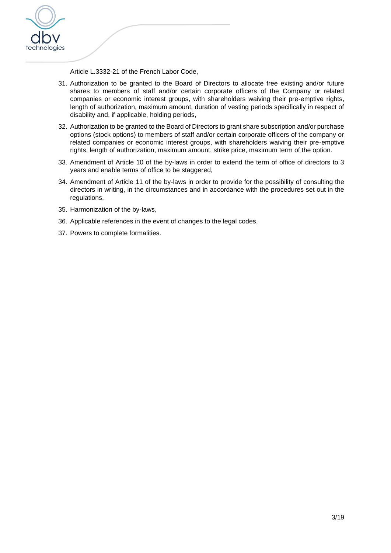

Article L.3332-21 of the French Labor Code,

- 31. Authorization to be granted to the Board of Directors to allocate free existing and/or future shares to members of staff and/or certain corporate officers of the Company or related companies or economic interest groups, with shareholders waiving their pre-emptive rights, length of authorization, maximum amount, duration of vesting periods specifically in respect of disability and, if applicable, holding periods,
- 32. Authorization to be granted to the Board of Directors to grant share subscription and/or purchase options (stock options) to members of staff and/or certain corporate officers of the company or related companies or economic interest groups, with shareholders waiving their pre-emptive rights, length of authorization, maximum amount, strike price, maximum term of the option.
- 33. Amendment of Article 10 of the by-laws in order to extend the term of office of directors to 3 years and enable terms of office to be staggered,
- 34. Amendment of Article 11 of the by-laws in order to provide for the possibility of consulting the directors in writing, in the circumstances and in accordance with the procedures set out in the regulations,
- 35. Harmonization of the by-laws,
- 36. Applicable references in the event of changes to the legal codes,
- 37. Powers to complete formalities.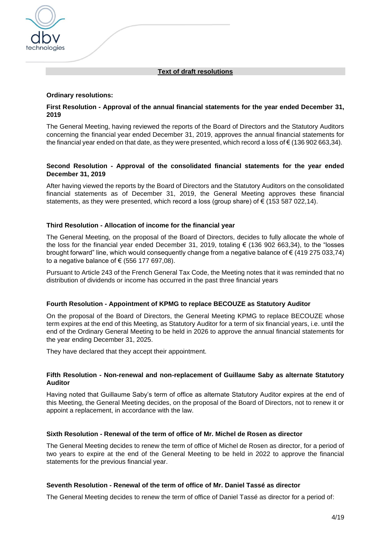## **Text of draft resolutions**

#### **Ordinary resolutions:**

technologies

## **First Resolution - Approval of the annual financial statements for the year ended December 31, 2019**

The General Meeting, having reviewed the reports of the Board of Directors and the Statutory Auditors concerning the financial year ended December 31, 2019, approves the annual financial statements for the financial year ended on that date, as they were presented, which record a loss of € (136 902 663,34).

## **Second Resolution - Approval of the consolidated financial statements for the year ended December 31, 2019**

After having viewed the reports by the Board of Directors and the Statutory Auditors on the consolidated financial statements as of December 31, 2019, the General Meeting approves these financial statements, as they were presented, which record a loss (group share) of  $\epsilon$  (153 587 022,14).

#### **Third Resolution - Allocation of income for the financial year**

The General Meeting, on the proposal of the Board of Directors, decides to fully allocate the whole of the loss for the financial year ended December 31, 2019, totaling  $\epsilon$  (136 902 663,34), to the "losses brought forward" line, which would consequently change from a negative balance of € (419 275 033,74) to a negative balance of  $\epsilon$  (556 177 697,08).

Pursuant to Article 243 of the French General Tax Code, the Meeting notes that it was reminded that no distribution of dividends or income has occurred in the past three financial years

#### **Fourth Resolution - Appointment of KPMG to replace BECOUZE as Statutory Auditor**

On the proposal of the Board of Directors, the General Meeting KPMG to replace BECOUZE whose term expires at the end of this Meeting, as Statutory Auditor for a term of six financial years, i.e. until the end of the Ordinary General Meeting to be held in 2026 to approve the annual financial statements for the year ending December 31, 2025.

They have declared that they accept their appointment.

#### **Fifth Resolution - Non-renewal and non-replacement of Guillaume Saby as alternate Statutory Auditor**

Having noted that Guillaume Saby's term of office as alternate Statutory Auditor expires at the end of this Meeting, the General Meeting decides, on the proposal of the Board of Directors, not to renew it or appoint a replacement, in accordance with the law.

#### **Sixth Resolution - Renewal of the term of office of Mr. Michel de Rosen as director**

The General Meeting decides to renew the term of office of Michel de Rosen as director, for a period of two years to expire at the end of the General Meeting to be held in 2022 to approve the financial statements for the previous financial year.

## **Seventh Resolution - Renewal of the term of office of Mr. Daniel Tassé as director**

The General Meeting decides to renew the term of office of Daniel Tassé as director for a period of: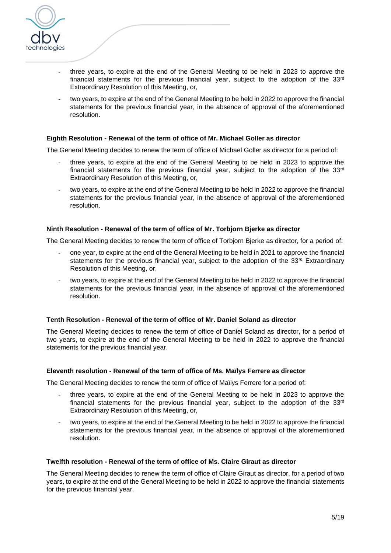

- three years, to expire at the end of the General Meeting to be held in 2023 to approve the financial statements for the previous financial year, subject to the adoption of the  $33<sup>rd</sup>$ Extraordinary Resolution of this Meeting, or,
- two years, to expire at the end of the General Meeting to be held in 2022 to approve the financial statements for the previous financial year, in the absence of approval of the aforementioned resolution.

#### **Eighth Resolution - Renewal of the term of office of Mr. Michael Goller as director**

The General Meeting decides to renew the term of office of Michael Goller as director for a period of:

- three years, to expire at the end of the General Meeting to be held in 2023 to approve the financial statements for the previous financial year, subject to the adoption of the  $33<sup>rd</sup>$ Extraordinary Resolution of this Meeting, or,
- two years, to expire at the end of the General Meeting to be held in 2022 to approve the financial statements for the previous financial year, in the absence of approval of the aforementioned resolution.

## **Ninth Resolution - Renewal of the term of office of Mr. Torbjorn Bjerke as director**

The General Meeting decides to renew the term of office of Torbjorn Bjerke as director, for a period of:

- one year, to expire at the end of the General Meeting to be held in 2021 to approve the financial statements for the previous financial year, subject to the adoption of the 33<sup>rd</sup> Extraordinary Resolution of this Meeting, or,
- two years, to expire at the end of the General Meeting to be held in 2022 to approve the financial statements for the previous financial year, in the absence of approval of the aforementioned resolution.

#### **Tenth Resolution - Renewal of the term of office of Mr. Daniel Soland as director**

The General Meeting decides to renew the term of office of Daniel Soland as director, for a period of two years, to expire at the end of the General Meeting to be held in 2022 to approve the financial statements for the previous financial year.

#### **Eleventh resolution - Renewal of the term of office of Ms. Maïlys Ferrere as director**

The General Meeting decides to renew the term of office of Maïlys Ferrere for a period of:

- three years, to expire at the end of the General Meeting to be held in 2023 to approve the financial statements for the previous financial year, subject to the adoption of the  $33<sup>rd</sup>$ Extraordinary Resolution of this Meeting, or,
- two years, to expire at the end of the General Meeting to be held in 2022 to approve the financial statements for the previous financial year, in the absence of approval of the aforementioned resolution.

#### **Twelfth resolution - Renewal of the term of office of Ms. Claire Giraut as director**

The General Meeting decides to renew the term of office of Claire Giraut as director, for a period of two years, to expire at the end of the General Meeting to be held in 2022 to approve the financial statements for the previous financial year.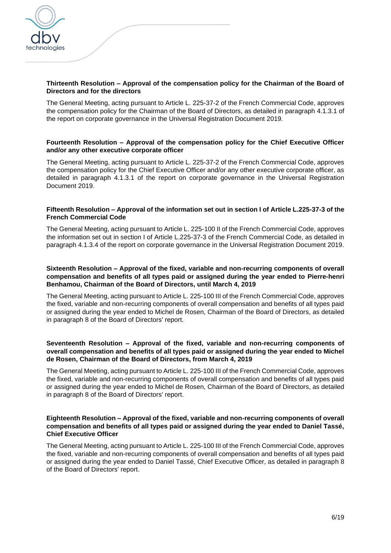

# **Thirteenth Resolution – Approval of the compensation policy for the Chairman of the Board of Directors and for the directors**

The General Meeting, acting pursuant to Article L. 225-37-2 of the French Commercial Code, approves the compensation policy for the Chairman of the Board of Directors, as detailed in paragraph 4.1.3.1 of the report on corporate governance in the Universal Registration Document 2019.

# **Fourteenth Resolution – Approval of the compensation policy for the Chief Executive Officer and/or any other executive corporate officer**

The General Meeting, acting pursuant to Article L. 225-37-2 of the French Commercial Code, approves the compensation policy for the Chief Executive Officer and/or any other executive corporate officer, as detailed in paragraph 4.1.3.1 of the report on corporate governance in the Universal Registration Document 2019.

## **Fifteenth Resolution – Approval of the information set out in section I of Article L.225-37-3 of the French Commercial Code**

The General Meeting, acting pursuant to Article L. 225-100 II of the French Commercial Code, approves the information set out in section I of Article L.225-37-3 of the French Commercial Code, as detailed in paragraph 4.1.3.4 of the report on corporate governance in the Universal Registration Document 2019.

#### **Sixteenth Resolution – Approval of the fixed, variable and non-recurring components of overall compensation and benefits of all types paid or assigned during the year ended to Pierre-henri Benhamou, Chairman of the Board of Directors, until March 4, 2019**

The General Meeting, acting pursuant to Article L. 225-100 III of the French Commercial Code, approves the fixed, variable and non-recurring components of overall compensation and benefits of all types paid or assigned during the year ended to Michel de Rosen, Chairman of the Board of Directors, as detailed in paragraph 8 of the Board of Directors' report.

# **Seventeenth Resolution – Approval of the fixed, variable and non-recurring components of overall compensation and benefits of all types paid or assigned during the year ended to Michel de Rosen, Chairman of the Board of Directors, from March 4, 2019**

The General Meeting, acting pursuant to Article L. 225-100 III of the French Commercial Code, approves the fixed, variable and non-recurring components of overall compensation and benefits of all types paid or assigned during the year ended to Michel de Rosen, Chairman of the Board of Directors, as detailed in paragraph 8 of the Board of Directors' report.

## **Eighteenth Resolution – Approval of the fixed, variable and non-recurring components of overall compensation and benefits of all types paid or assigned during the year ended to Daniel Tassé, Chief Executive Officer**

The General Meeting, acting pursuant to Article L. 225-100 III of the French Commercial Code, approves the fixed, variable and non-recurring components of overall compensation and benefits of all types paid or assigned during the year ended to Daniel Tassé, Chief Executive Officer, as detailed in paragraph 8 of the Board of Directors' report.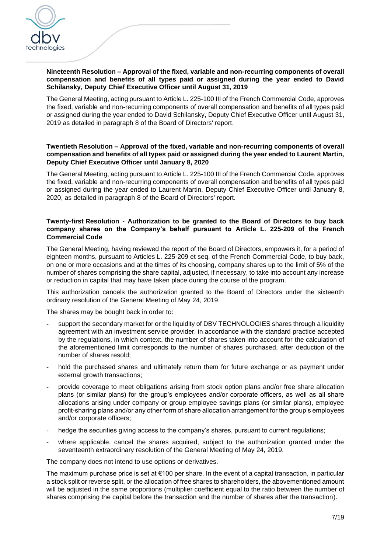

# **Nineteenth Resolution – Approval of the fixed, variable and non-recurring components of overall compensation and benefits of all types paid or assigned during the year ended to David Schilansky, Deputy Chief Executive Officer until August 31, 2019**

The General Meeting, acting pursuant to Article L. 225-100 III of the French Commercial Code, approves the fixed, variable and non-recurring components of overall compensation and benefits of all types paid or assigned during the year ended to David Schilansky, Deputy Chief Executive Officer until August 31, 2019 as detailed in paragraph 8 of the Board of Directors' report.

## **Twentieth Resolution – Approval of the fixed, variable and non-recurring components of overall compensation and benefits of all types paid or assigned during the year ended to Laurent Martin, Deputy Chief Executive Officer until January 8, 2020**

The General Meeting, acting pursuant to Article L. 225-100 III of the French Commercial Code, approves the fixed, variable and non-recurring components of overall compensation and benefits of all types paid or assigned during the year ended to Laurent Martin, Deputy Chief Executive Officer until January 8, 2020, as detailed in paragraph 8 of the Board of Directors' report.

## **Twenty-first Resolution - Authorization to be granted to the Board of Directors to buy back company shares on the Company's behalf pursuant to Article L. 225-209 of the French Commercial Code**

The General Meeting, having reviewed the report of the Board of Directors, empowers it, for a period of eighteen months, pursuant to Articles L. 225-209 et seq. of the French Commercial Code, to buy back, on one or more occasions and at the times of its choosing, company shares up to the limit of 5% of the number of shares comprising the share capital, adjusted, if necessary, to take into account any increase or reduction in capital that may have taken place during the course of the program.

This authorization cancels the authorization granted to the Board of Directors under the sixteenth ordinary resolution of the General Meeting of May 24, 2019.

The shares may be bought back in order to:

- support the secondary market for or the liquidity of DBV TECHNOLOGIES shares through a liquidity agreement with an investment service provider, in accordance with the standard practice accepted by the regulations, in which context, the number of shares taken into account for the calculation of the aforementioned limit corresponds to the number of shares purchased, after deduction of the number of shares resold;
- hold the purchased shares and ultimately return them for future exchange or as payment under external growth transactions;
- provide coverage to meet obligations arising from stock option plans and/or free share allocation plans (or similar plans) for the group's employees and/or corporate officers, as well as all share allocations arising under company or group employee savings plans (or similar plans), employee profit-sharing plans and/or any other form of share allocation arrangement for the group's employees and/or corporate officers;
- hedge the securities giving access to the company's shares, pursuant to current regulations;
- where applicable, cancel the shares acquired, subject to the authorization granted under the seventeenth extraordinary resolution of the General Meeting of May 24, 2019.

The company does not intend to use options or derivatives.

The maximum purchase price is set at  $\epsilon$ 100 per share. In the event of a capital transaction, in particular a stock split or reverse split, or the allocation of free shares to shareholders, the abovementioned amount will be adjusted in the same proportions (multiplier coefficient equal to the ratio between the number of shares comprising the capital before the transaction and the number of shares after the transaction).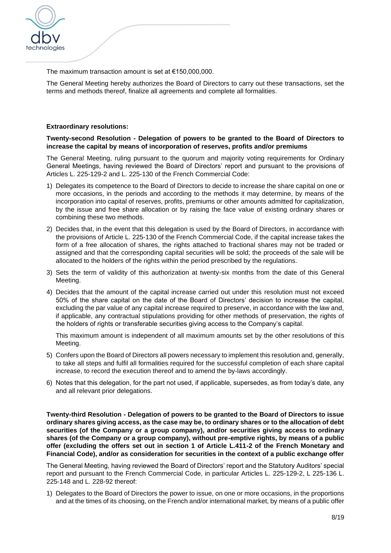

The maximum transaction amount is set at €150,000,000.

The General Meeting hereby authorizes the Board of Directors to carry out these transactions, set the terms and methods thereof, finalize all agreements and complete all formalities.

#### **Extraordinary resolutions:**

#### **Twenty-second Resolution - Delegation of powers to be granted to the Board of Directors to increase the capital by means of incorporation of reserves, profits and/or premiums**

The General Meeting, ruling pursuant to the quorum and majority voting requirements for Ordinary General Meetings, having reviewed the Board of Directors' report and pursuant to the provisions of Articles L. 225-129-2 and L. 225-130 of the French Commercial Code:

- 1) Delegates its competence to the Board of Directors to decide to increase the share capital on one or more occasions, in the periods and according to the methods it may determine, by means of the incorporation into capital of reserves, profits, premiums or other amounts admitted for capitalization, by the issue and free share allocation or by raising the face value of existing ordinary shares or combining these two methods.
- 2) Decides that, in the event that this delegation is used by the Board of Directors, in accordance with the provisions of Article L. 225-130 of the French Commercial Code, if the capital increase takes the form of a free allocation of shares, the rights attached to fractional shares may not be traded or assigned and that the corresponding capital securities will be sold; the proceeds of the sale will be allocated to the holders of the rights within the period prescribed by the regulations.
- 3) Sets the term of validity of this authorization at twenty-six months from the date of this General Meeting.
- 4) Decides that the amount of the capital increase carried out under this resolution must not exceed 50% of the share capital on the date of the Board of Directors' decision to increase the capital, excluding the par value of any capital increase required to preserve, in accordance with the law and, if applicable, any contractual stipulations providing for other methods of preservation, the rights of the holders of rights or transferable securities giving access to the Company's capital.

This maximum amount is independent of all maximum amounts set by the other resolutions of this Meeting.

- 5) Confers upon the Board of Directors all powers necessary to implement this resolution and, generally, to take all steps and fulfil all formalities required for the successful completion of each share capital increase, to record the execution thereof and to amend the by-laws accordingly.
- 6) Notes that this delegation, for the part not used, if applicable, supersedes, as from today's date, any and all relevant prior delegations.

**Twenty-third Resolution - Delegation of powers to be granted to the Board of Directors to issue ordinary shares giving access, as the case may be, to ordinary shares or to the allocation of debt securities (of the Company or a group company), and/or securities giving access to ordinary shares (of the Company or a group company), without pre-emptive rights, by means of a public offer (excluding the offers set out in section 1 of Article L.411-2 of the French Monetary and Financial Code), and/or as consideration for securities in the context of a public exchange offer**

The General Meeting, having reviewed the Board of Directors' report and the Statutory Auditors' special report and pursuant to the French Commercial Code, in particular Articles L. 225-129-2, L 225-136 L. 225-148 and L. 228-92 thereof:

1) Delegates to the Board of Directors the power to issue, on one or more occasions, in the proportions and at the times of its choosing, on the French and/or international market, by means of a public offer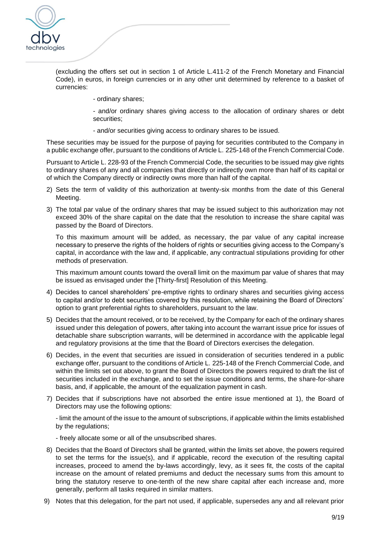

(excluding the offers set out in section 1 of Article L.411-2 of the French Monetary and Financial Code), in euros, in foreign currencies or in any other unit determined by reference to a basket of currencies:

- ordinary shares;

- and/or ordinary shares giving access to the allocation of ordinary shares or debt securities;

- and/or securities giving access to ordinary shares to be issued.

These securities may be issued for the purpose of paying for securities contributed to the Company in a public exchange offer, pursuant to the conditions of Article L. 225-148 of the French Commercial Code.

Pursuant to Article L. 228-93 of the French Commercial Code, the securities to be issued may give rights to ordinary shares of any and all companies that directly or indirectly own more than half of its capital or of which the Company directly or indirectly owns more than half of the capital.

- 2) Sets the term of validity of this authorization at twenty-six months from the date of this General Meeting.
- 3) The total par value of the ordinary shares that may be issued subject to this authorization may not exceed 30% of the share capital on the date that the resolution to increase the share capital was passed by the Board of Directors.

To this maximum amount will be added, as necessary, the par value of any capital increase necessary to preserve the rights of the holders of rights or securities giving access to the Company's capital, in accordance with the law and, if applicable, any contractual stipulations providing for other methods of preservation.

This maximum amount counts toward the overall limit on the maximum par value of shares that may be issued as envisaged under the [Thirty-first] Resolution of this Meeting.

- 4) Decides to cancel shareholders' pre-emptive rights to ordinary shares and securities giving access to capital and/or to debt securities covered by this resolution, while retaining the Board of Directors' option to grant preferential rights to shareholders, pursuant to the law.
- 5) Decides that the amount received, or to be received, by the Company for each of the ordinary shares issued under this delegation of powers, after taking into account the warrant issue price for issues of detachable share subscription warrants, will be determined in accordance with the applicable legal and regulatory provisions at the time that the Board of Directors exercises the delegation.
- 6) Decides, in the event that securities are issued in consideration of securities tendered in a public exchange offer, pursuant to the conditions of Article L. 225-148 of the French Commercial Code, and within the limits set out above, to grant the Board of Directors the powers required to draft the list of securities included in the exchange, and to set the issue conditions and terms, the share-for-share basis, and, if applicable, the amount of the equalization payment in cash.
- 7) Decides that if subscriptions have not absorbed the entire issue mentioned at 1), the Board of Directors may use the following options:

- limit the amount of the issue to the amount of subscriptions, if applicable within the limits established by the regulations;

- freely allocate some or all of the unsubscribed shares.

- 8) Decides that the Board of Directors shall be granted, within the limits set above, the powers required to set the terms for the issue(s), and if applicable, record the execution of the resulting capital increases, proceed to amend the by-laws accordingly, levy, as it sees fit, the costs of the capital increase on the amount of related premiums and deduct the necessary sums from this amount to bring the statutory reserve to one-tenth of the new share capital after each increase and, more generally, perform all tasks required in similar matters.
- 9) Notes that this delegation, for the part not used, if applicable, supersedes any and all relevant prior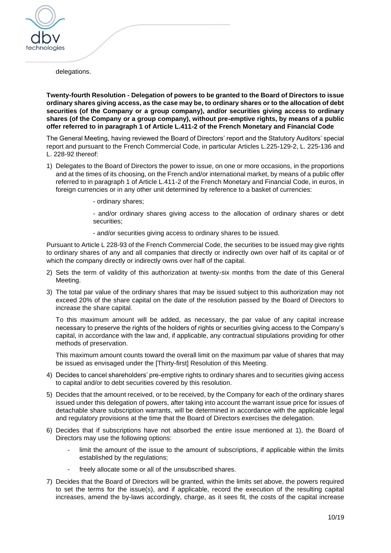

delegations.

**Twenty-fourth Resolution - Delegation of powers to be granted to the Board of Directors to issue ordinary shares giving access, as the case may be, to ordinary shares or to the allocation of debt securities (of the Company or a group company), and/or securities giving access to ordinary shares (of the Company or a group company), without pre-emptive rights, by means of a public offer referred to in paragraph 1 of Article L.411-2 of the French Monetary and Financial Code**

The General Meeting, having reviewed the Board of Directors' report and the Statutory Auditors' special report and pursuant to the French Commercial Code, in particular Articles L.225-129-2, L. 225-136 and L. 228-92 thereof:

- 1) Delegates to the Board of Directors the power to issue, on one or more occasions, in the proportions and at the times of its choosing, on the French and/or international market, by means of a public offer referred to in paragraph 1 of Article L.411-2 of the French Monetary and Financial Code, in euros, in foreign currencies or in any other unit determined by reference to a basket of currencies:
	- ordinary shares;

- and/or ordinary shares giving access to the allocation of ordinary shares or debt securities;

- and/or securities giving access to ordinary shares to be issued.

Pursuant to Article L 228-93 of the French Commercial Code, the securities to be issued may give rights to ordinary shares of any and all companies that directly or indirectly own over half of its capital or of which the company directly or indirectly owns over half of the capital.

- 2) Sets the term of validity of this authorization at twenty-six months from the date of this General Meeting.
- 3) The total par value of the ordinary shares that may be issued subject to this authorization may not exceed 20% of the share capital on the date of the resolution passed by the Board of Directors to increase the share capital.

To this maximum amount will be added, as necessary, the par value of any capital increase necessary to preserve the rights of the holders of rights or securities giving access to the Company's capital, in accordance with the law and, if applicable, any contractual stipulations providing for other methods of preservation.

This maximum amount counts toward the overall limit on the maximum par value of shares that may be issued as envisaged under the [Thirty-first] Resolution of this Meeting.

- 4) Decides to cancel shareholders' pre-emptive rights to ordinary shares and to securities giving access to capital and/or to debt securities covered by this resolution.
- 5) Decides that the amount received, or to be received, by the Company for each of the ordinary shares issued under this delegation of powers, after taking into account the warrant issue price for issues of detachable share subscription warrants, will be determined in accordance with the applicable legal and regulatory provisions at the time that the Board of Directors exercises the delegation.
- 6) Decides that if subscriptions have not absorbed the entire issue mentioned at 1), the Board of Directors may use the following options:
	- limit the amount of the issue to the amount of subscriptions, if applicable within the limits established by the regulations;
	- freely allocate some or all of the unsubscribed shares.
- 7) Decides that the Board of Directors will be granted, within the limits set above, the powers required to set the terms for the issue(s), and if applicable, record the execution of the resulting capital increases, amend the by-laws accordingly, charge, as it sees fit, the costs of the capital increase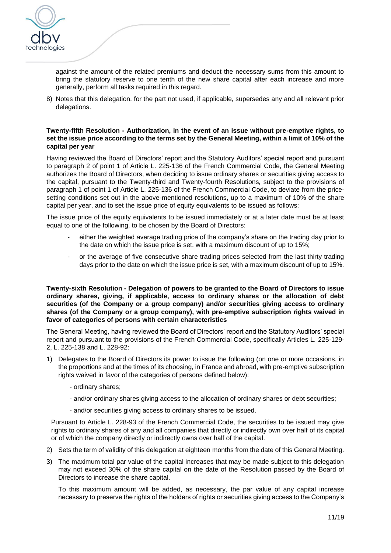

against the amount of the related premiums and deduct the necessary sums from this amount to bring the statutory reserve to one tenth of the new share capital after each increase and more generally, perform all tasks required in this regard.

8) Notes that this delegation, for the part not used, if applicable, supersedes any and all relevant prior delegations.

## **Twenty-fifth Resolution - Authorization, in the event of an issue without pre-emptive rights, to set the issue price according to the terms set by the General Meeting, within a limit of 10% of the capital per year**

Having reviewed the Board of Directors' report and the Statutory Auditors' special report and pursuant to paragraph 2 of point 1 of Article L. 225-136 of the French Commercial Code, the General Meeting authorizes the Board of Directors, when deciding to issue ordinary shares or securities giving access to the capital, pursuant to the Twenty-third and Twenty-fourth Resolutions*,* subject to the provisions of paragraph 1 of point 1 of Article L. 225-136 of the French Commercial Code, to deviate from the pricesetting conditions set out in the above-mentioned resolutions, up to a maximum of 10% of the share capital per year, and to set the issue price of equity equivalents to be issued as follows:

The issue price of the equity equivalents to be issued immediately or at a later date must be at least equal to one of the following, to be chosen by the Board of Directors:

- either the weighted average trading price of the company's share on the trading day prior to the date on which the issue price is set, with a maximum discount of up to 15%;
- or the average of five consecutive share trading prices selected from the last thirty trading days prior to the date on which the issue price is set, with a maximum discount of up to 15%.

**Twenty-sixth Resolution - Delegation of powers to be granted to the Board of Directors to issue ordinary shares, giving, if applicable, access to ordinary shares or the allocation of debt securities (of the Company or a group company) and/or securities giving access to ordinary shares (of the Company or a group company), with pre-emptive subscription rights waived in favor of categories of persons with certain characteristics**

The General Meeting, having reviewed the Board of Directors' report and the Statutory Auditors' special report and pursuant to the provisions of the French Commercial Code, specifically Articles L. 225-129- 2, L. 225-138 and L. 228-92:

- 1) Delegates to the Board of Directors its power to issue the following (on one or more occasions, in the proportions and at the times of its choosing, in France and abroad, with pre-emptive subscription rights waived in favor of the categories of persons defined below):
	- ordinary shares;
	- and/or ordinary shares giving access to the allocation of ordinary shares or debt securities;
	- and/or securities giving access to ordinary shares to be issued.

Pursuant to Article L. 228-93 of the French Commercial Code, the securities to be issued may give rights to ordinary shares of any and all companies that directly or indirectly own over half of its capital or of which the company directly or indirectly owns over half of the capital.

- 2) Sets the term of validity of this delegation at eighteen months from the date of this General Meeting.
- 3) The maximum total par value of the capital increases that may be made subject to this delegation may not exceed 30% of the share capital on the date of the Resolution passed by the Board of Directors to increase the share capital.

To this maximum amount will be added, as necessary, the par value of any capital increase necessary to preserve the rights of the holders of rights or securities giving access to the Company's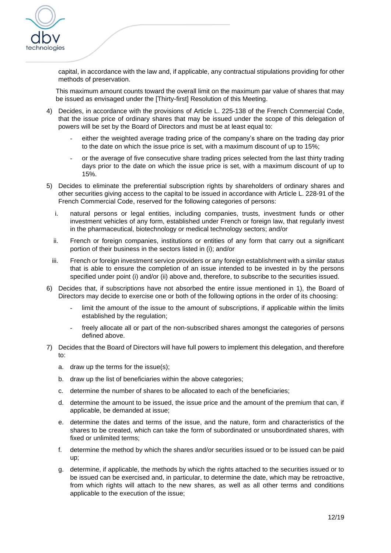

capital, in accordance with the law and, if applicable, any contractual stipulations providing for other methods of preservation.

This maximum amount counts toward the overall limit on the maximum par value of shares that may be issued as envisaged under the [Thirty-first] Resolution of this Meeting.

- 4) Decides, in accordance with the provisions of Article L. 225-138 of the French Commercial Code, that the issue price of ordinary shares that may be issued under the scope of this delegation of powers will be set by the Board of Directors and must be at least equal to:
	- either the weighted average trading price of the company's share on the trading day prior to the date on which the issue price is set, with a maximum discount of up to 15%;
	- or the average of five consecutive share trading prices selected from the last thirty trading days prior to the date on which the issue price is set, with a maximum discount of up to 15%.
- 5) Decides to eliminate the preferential subscription rights by shareholders of ordinary shares and other securities giving access to the capital to be issued in accordance with Article L. 228-91 of the French Commercial Code, reserved for the following categories of persons:
	- i. natural persons or legal entities, including companies, trusts, investment funds or other investment vehicles of any form, established under French or foreign law, that regularly invest in the pharmaceutical, biotechnology or medical technology sectors; and/or
	- ii. French or foreign companies, institutions or entities of any form that carry out a significant portion of their business in the sectors listed in (i); and/or
	- iii. French or foreign investment service providers or any foreign establishment with a similar status that is able to ensure the completion of an issue intended to be invested in by the persons specified under point (i) and/or (ii) above and, therefore, to subscribe to the securities issued.
- 6) Decides that, if subscriptions have not absorbed the entire issue mentioned in 1), the Board of Directors may decide to exercise one or both of the following options in the order of its choosing:
	- limit the amount of the issue to the amount of subscriptions, if applicable within the limits established by the regulation;
	- freely allocate all or part of the non-subscribed shares amongst the categories of persons defined above.
- 7) Decides that the Board of Directors will have full powers to implement this delegation, and therefore to:
	- a. draw up the terms for the issue(s);
	- b. draw up the list of beneficiaries within the above categories;
	- c. determine the number of shares to be allocated to each of the beneficiaries;
	- d. determine the amount to be issued, the issue price and the amount of the premium that can, if applicable, be demanded at issue;
	- e. determine the dates and terms of the issue, and the nature, form and characteristics of the shares to be created, which can take the form of subordinated or unsubordinated shares, with fixed or unlimited terms;
	- f. determine the method by which the shares and/or securities issued or to be issued can be paid up;
	- g. determine, if applicable, the methods by which the rights attached to the securities issued or to be issued can be exercised and, in particular, to determine the date, which may be retroactive, from which rights will attach to the new shares, as well as all other terms and conditions applicable to the execution of the issue;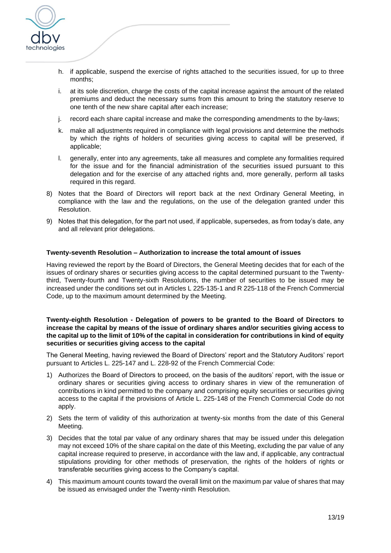

- h. if applicable, suspend the exercise of rights attached to the securities issued, for up to three months;
- i. at its sole discretion, charge the costs of the capital increase against the amount of the related premiums and deduct the necessary sums from this amount to bring the statutory reserve to one tenth of the new share capital after each increase;
- j. record each share capital increase and make the corresponding amendments to the by-laws;
- k. make all adjustments required in compliance with legal provisions and determine the methods by which the rights of holders of securities giving access to capital will be preserved, if applicable;
- l. generally, enter into any agreements, take all measures and complete any formalities required for the issue and for the financial administration of the securities issued pursuant to this delegation and for the exercise of any attached rights and, more generally, perform all tasks required in this regard.
- 8) Notes that the Board of Directors will report back at the next Ordinary General Meeting, in compliance with the law and the regulations, on the use of the delegation granted under this Resolution.
- 9) Notes that this delegation, for the part not used, if applicable, supersedes, as from today's date, any and all relevant prior delegations.

#### **Twenty-seventh Resolution – Authorization to increase the total amount of issues**

Having reviewed the report by the Board of Directors, the General Meeting decides that for each of the issues of ordinary shares or securities giving access to the capital determined pursuant to the Twentythird, Twenty-fourth and Twenty-sixth Resolutions, the number of securities to be issued may be increased under the conditions set out in Articles L 225-135-1 and R 225-118 of the French Commercial Code, up to the maximum amount determined by the Meeting.

#### **Twenty-eighth Resolution - Delegation of powers to be granted to the Board of Directors to increase the capital by means of the issue of ordinary shares and/or securities giving access to the capital up to the limit of 10% of the capital in consideration for contributions in kind of equity securities or securities giving access to the capital**

The General Meeting, having reviewed the Board of Directors' report and the Statutory Auditors' report pursuant to Articles L. 225-147 and L. 228-92 of the French Commercial Code:

- 1) Authorizes the Board of Directors to proceed, on the basis of the auditors' report, with the issue or ordinary shares or securities giving access to ordinary shares in view of the remuneration of contributions in kind permitted to the company and comprising equity securities or securities giving access to the capital if the provisions of Article L. 225-148 of the French Commercial Code do not apply.
- 2) Sets the term of validity of this authorization at twenty-six months from the date of this General Meeting.
- 3) Decides that the total par value of any ordinary shares that may be issued under this delegation may not exceed 10% of the share capital on the date of this Meeting, excluding the par value of any capital increase required to preserve, in accordance with the law and, if applicable, any contractual stipulations providing for other methods of preservation, the rights of the holders of rights or transferable securities giving access to the Company's capital.
- 4) This maximum amount counts toward the overall limit on the maximum par value of shares that may be issued as envisaged under the Twenty-ninth Resolution.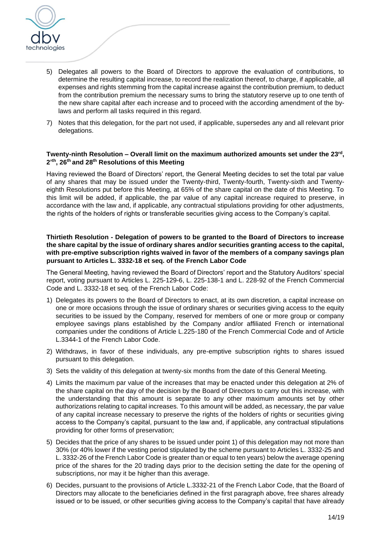

- 5) Delegates all powers to the Board of Directors to approve the evaluation of contributions, to determine the resulting capital increase, to record the realization thereof, to charge, if applicable, all expenses and rights stemming from the capital increase against the contribution premium, to deduct from the contribution premium the necessary sums to bring the statutory reserve up to one tenth of the new share capital after each increase and to proceed with the according amendment of the bylaws and perform all tasks required in this regard.
- 7) Notes that this delegation, for the part not used, if applicable, supersedes any and all relevant prior delegations.

#### **Twenty-ninth Resolution – Overall limit on the maximum authorized amounts set under the 23 rd , 2' th, 26 th and 28th Resolutions of this Meeting**

Having reviewed the Board of Directors' report, the General Meeting decides to set the total par value of any shares that may be issued under the Twenty-third, Twenty-fourth, Twenty-sixth and Twentyeighth Resolutions put before this Meeting, at 65% of the share capital on the date of this Meeting. To this limit will be added, if applicable, the par value of any capital increase required to preserve, in accordance with the law and, if applicable, any contractual stipulations providing for other adjustments, the rights of the holders of rights or transferable securities giving access to the Company's capital.

**Thirtieth Resolution - Delegation of powers to be granted to the Board of Directors to increase the share capital by the issue of ordinary shares and/or securities granting access to the capital, with pre-emptive subscription rights waived in favor of the members of a company savings plan pursuant to Articles L. 3332-18 et seq. of the French Labor Code**

The General Meeting, having reviewed the Board of Directors' report and the Statutory Auditors' special report, voting pursuant to Articles L. 225-129-6, L. 225-138-1 and L. 228-92 of the French Commercial Code and L. 3332-18 et seq. of the French Labor Code:

- 1) Delegates its powers to the Board of Directors to enact, at its own discretion, a capital increase on one or more occasions through the issue of ordinary shares or securities giving access to the equity securities to be issued by the Company, reserved for members of one or more group or company employee savings plans established by the Company and/or affiliated French or international companies under the conditions of Article L.225-180 of the French Commercial Code and of Article L.3344-1 of the French Labor Code.
- 2) Withdraws, in favor of these individuals, any pre-emptive subscription rights to shares issued pursuant to this delegation.
- 3) Sets the validity of this delegation at twenty-six months from the date of this General Meeting.
- 4) Limits the maximum par value of the increases that may be enacted under this delegation at 2% of the share capital on the day of the decision by the Board of Directors to carry out this increase, with the understanding that this amount is separate to any other maximum amounts set by other authorizations relating to capital increases*.* To this amount will be added, as necessary, the par value of any capital increase necessary to preserve the rights of the holders of rights or securities giving access to the Company's capital, pursuant to the law and, if applicable, any contractual stipulations providing for other forms of preservation;
- 5) Decides that the price of any shares to be issued under point 1) of this delegation may not more than 30% (or 40% lower if the vesting period stipulated by the scheme pursuant to Articles L. 3332-25 and L. 3332-26 of the French Labor Code is greater than or equal to ten years) below the average opening price of the shares for the 20 trading days prior to the decision setting the date for the opening of subscriptions, nor may it be higher than this average.
- 6) Decides, pursuant to the provisions of Article L.3332-21 of the French Labor Code, that the Board of Directors may allocate to the beneficiaries defined in the first paragraph above, free shares already issued or to be issued, or other securities giving access to the Company's capital that have already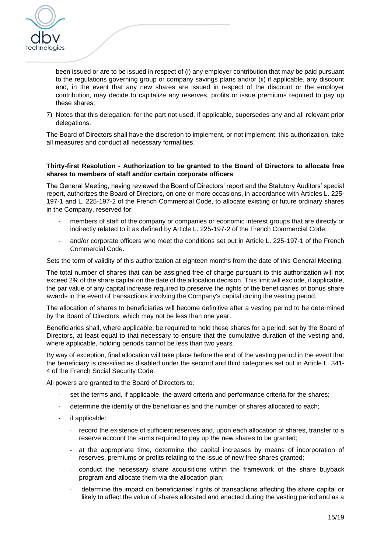

been issued or are to be issued in respect of (i) any employer contribution that may be paid pursuant to the regulations governing group or company savings plans and/or (ii) if applicable, any discount and, in the event that any new shares are issued in respect of the discount or the employer contribution, may decide to capitalize any reserves, profits or issue premiums required to pay up these shares;

7) Notes that this delegation, for the part not used, if applicable, supersedes any and all relevant prior delegations.

The Board of Directors shall have the discretion to implement, or not implement, this authorization, take all measures and conduct all necessary formalities.

#### **Thirty-first Resolution - Authorization to be granted to the Board of Directors to allocate free shares to members of staff and/or certain corporate officers**

The General Meeting, having reviewed the Board of Directors' report and the Statutory Auditors' special report, authorizes the Board of Directors, on one or more occasions, in accordance with Articles L. 225- 197-1 and L. 225-197-2 of the French Commercial Code, to allocate existing or future ordinary shares in the Company, reserved for:

- members of staff of the company or companies or economic interest groups that are directly or indirectly related to it as defined by Article L. 225-197-2 of the French Commercial Code;
- and/or corporate officers who meet the conditions set out in Article L. 225-197-1 of the French Commercial Code.

Sets the term of validity of this authorization at eighteen months from the date of this General Meeting.

The total number of shares that can be assigned free of charge pursuant to this authorization will not exceed 2% of the share capital on the date of the allocation decision. This limit will exclude, if applicable, the par value of any capital increase required to preserve the rights of the beneficiaries of bonus share awards in the event of transactions involving the Company's capital during the vesting period.

The allocation of shares to beneficiaries will become definitive after a vesting period to be determined by the Board of Directors, which may not be less than one year.

Beneficiaries shall, where applicable, be required to hold these shares for a period, set by the Board of Directors, at least equal to that necessary to ensure that the cumulative duration of the vesting and, where applicable, holding periods cannot be less than two years.

By way of exception, final allocation will take place before the end of the vesting period in the event that the beneficiary is classified as disabled under the second and third categories set out in Article L. 341- 4 of the French Social Security Code.

All powers are granted to the Board of Directors to:

- set the terms and, if applicable, the award criteria and performance criteria for the shares;
- determine the identity of the beneficiaries and the number of shares allocated to each;
- if applicable:
	- record the existence of sufficient reserves and, upon each allocation of shares, transfer to a reserve account the sums required to pay up the new shares to be granted;
	- at the appropriate time, determine the capital increases by means of incorporation of reserves, premiums or profits relating to the issue of new free shares granted;
	- conduct the necessary share acquisitions within the framework of the share buyback program and allocate them via the allocation plan;
	- determine the impact on beneficiaries' rights of transactions affecting the share capital or likely to affect the value of shares allocated and enacted during the vesting period and as a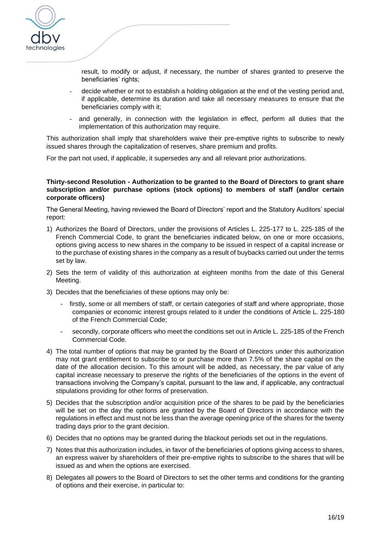

result, to modify or adjust, if necessary, the number of shares granted to preserve the beneficiaries' rights;

- decide whether or not to establish a holding obligation at the end of the vesting period and, if applicable, determine its duration and take all necessary measures to ensure that the beneficiaries comply with it;
- and generally, in connection with the legislation in effect, perform all duties that the implementation of this authorization may require.

This authorization shall imply that shareholders waive their pre-emptive rights to subscribe to newly issued shares through the capitalization of reserves, share premium and profits.

For the part not used, if applicable, it supersedes any and all relevant prior authorizations.

#### **Thirty-second Resolution - Authorization to be granted to the Board of Directors to grant share subscription and/or purchase options (stock options) to members of staff (and/or certain corporate officers)**

The General Meeting, having reviewed the Board of Directors' report and the Statutory Auditors' special report:

- 1) Authorizes the Board of Directors, under the provisions of Articles L. 225-177 to L. 225-185 of the French Commercial Code, to grant the beneficiaries indicated below, on one or more occasions, options giving access to new shares in the company to be issued in respect of a capital increase or to the purchase of existing shares in the company as a result of buybacks carried out under the terms set by law.
- 2) Sets the term of validity of this authorization at eighteen months from the date of this General Meeting.
- 3) Decides that the beneficiaries of these options may only be:
	- firstly, some or all members of staff, or certain categories of staff and where appropriate, those companies or economic interest groups related to it under the conditions of Article L. 225-180 of the French Commercial Code;
	- secondly, corporate officers who meet the conditions set out in Article L. 225-185 of the French Commercial Code.
- 4) The total number of options that may be granted by the Board of Directors under this authorization may not grant entitlement to subscribe to or purchase more than 7.5% of the share capital on the date of the allocation decision. To this amount will be added, as necessary, the par value of any capital increase necessary to preserve the rights of the beneficiaries of the options in the event of transactions involving the Company's capital, pursuant to the law and, if applicable, any contractual stipulations providing for other forms of preservation.
- 5) Decides that the subscription and/or acquisition price of the shares to be paid by the beneficiaries will be set on the day the options are granted by the Board of Directors in accordance with the regulations in effect and must not be less than the average opening price of the shares for the twenty trading days prior to the grant decision.
- 6) Decides that no options may be granted during the blackout periods set out in the regulations.
- 7) Notes that this authorization includes, in favor of the beneficiaries of options giving access to shares, an express waiver by shareholders of their pre-emptive rights to subscribe to the shares that will be issued as and when the options are exercised.
- 8) Delegates all powers to the Board of Directors to set the other terms and conditions for the granting of options and their exercise, in particular to: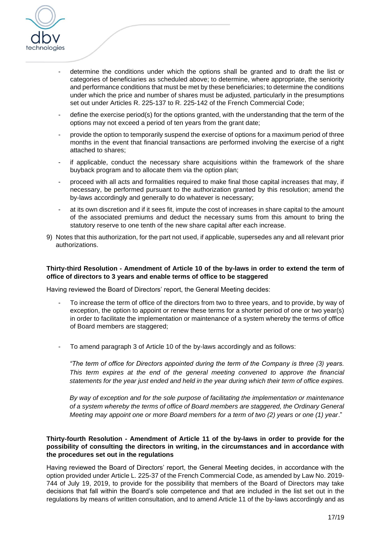

- determine the conditions under which the options shall be granted and to draft the list or categories of beneficiaries as scheduled above; to determine, where appropriate, the seniority and performance conditions that must be met by these beneficiaries; to determine the conditions under which the price and number of shares must be adjusted, particularly in the presumptions set out under Articles R. 225-137 to R. 225-142 of the French Commercial Code;
- define the exercise period(s) for the options granted, with the understanding that the term of the options may not exceed a period of ten years from the grant date;
- provide the option to temporarily suspend the exercise of options for a maximum period of three months in the event that financial transactions are performed involving the exercise of a right attached to shares;
- if applicable, conduct the necessary share acquisitions within the framework of the share buyback program and to allocate them via the option plan;
- proceed with all acts and formalities required to make final those capital increases that may, if necessary, be performed pursuant to the authorization granted by this resolution; amend the by-laws accordingly and generally to do whatever is necessary;
- at its own discretion and if it sees fit, impute the cost of increases in share capital to the amount of the associated premiums and deduct the necessary sums from this amount to bring the statutory reserve to one tenth of the new share capital after each increase.
- 9) Notes that this authorization, for the part not used, if applicable, supersedes any and all relevant prior authorizations.

## **Thirty-third Resolution - Amendment of Article 10 of the by-laws in order to extend the term of office of directors to 3 years and enable terms of office to be staggered**

Having reviewed the Board of Directors' report, the General Meeting decides:

- To increase the term of office of the directors from two to three years, and to provide, by way of exception, the option to appoint or renew these terms for a shorter period of one or two year(s) in order to facilitate the implementation or maintenance of a system whereby the terms of office of Board members are staggered;
- To amend paragraph 3 of Article 10 of the by-laws accordingly and as follows:

*"The term of office for Directors appointed during the term of the Company is three (3) years. This term expires at the end of the general meeting convened to approve the financial statements for the year just ended and held in the year during which their term of office expires.* 

*By way of exception and for the sole purpose of facilitating the implementation or maintenance of a system whereby the terms of office of Board members are staggered, the Ordinary General Meeting may appoint one or more Board members for a term of two (2) years or one (1) year*."

#### **Thirty-fourth Resolution - Amendment of Article 11 of the by-laws in order to provide for the possibility of consulting the directors in writing, in the circumstances and in accordance with the procedures set out in the regulations**

Having reviewed the Board of Directors' report, the General Meeting decides, in accordance with the option provided under Article L. 225-37 of the French Commercial Code, as amended by Law No. 2019- 744 of July 19, 2019, to provide for the possibility that members of the Board of Directors may take decisions that fall within the Board's sole competence and that are included in the list set out in the regulations by means of written consultation, and to amend Article 11 of the by-laws accordingly and as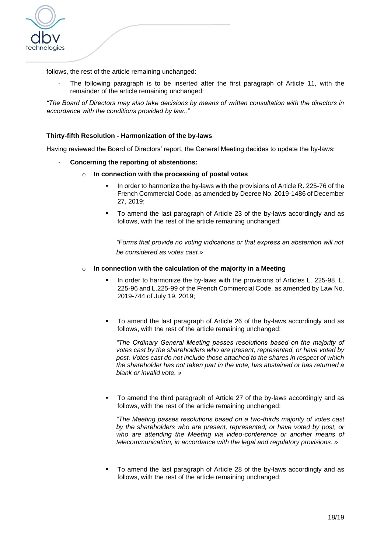

follows, the rest of the article remaining unchanged:

The following paragraph is to be inserted after the first paragraph of Article 11, with the remainder of the article remaining unchanged:

*"The Board of Directors may also take decisions by means of written consultation with the directors in accordance with the conditions provided by law.."*

## **Thirty-fifth Resolution - Harmonization of the by-laws**

Having reviewed the Board of Directors' report, the General Meeting decides to update the by-laws:

- **Concerning the reporting of abstentions:**
	- o **In connection with the processing of postal votes**
		- In order to harmonize the by-laws with the provisions of Article R. 225-76 of the French Commercial Code, as amended by [Decree No. 2019-1486 of December](https://www.legifrance.gouv.fr/affichTexteArticle.do;jsessionid=E32CAF1152ABD0388DCB6202E712ECB7.tplgfr36s_2?cidTexte=JORFTEXT000039684764&idArticle=LEGIARTI000039788039&dateTexte=20200131&categorieLien=id#LEGIARTI000039788039)  [27, 2019;](https://www.legifrance.gouv.fr/affichTexteArticle.do;jsessionid=E32CAF1152ABD0388DCB6202E712ECB7.tplgfr36s_2?cidTexte=JORFTEXT000039684764&idArticle=LEGIARTI000039788039&dateTexte=20200131&categorieLien=id#LEGIARTI000039788039)
		- To amend the last paragraph of Article 23 of the by-laws accordingly and as follows, with the rest of the article remaining unchanged:

*"Forms that provide no voting indications or that express an abstention will not be considered as votes cast.»* 

#### o **In connection with the calculation of the majority in a Meeting**

- In order to harmonize the by-laws with the provisions of Articles L. 225-98, L. 225-96 and L.225-99 of the French Commercial Code, as amended by Law [No.](https://www.legifrance.gouv.fr/affichTexteArticle.do;jsessionid=E32CAF1152ABD0388DCB6202E712ECB7.tplgfr36s_2?cidTexte=JORFTEXT000038792157&idArticle=LEGIARTI000038793734&dateTexte=20190721&categorieLien=id#LEGIARTI000038793734)  2019-744 of [July 19, 2019;](https://www.legifrance.gouv.fr/affichTexteArticle.do;jsessionid=E32CAF1152ABD0388DCB6202E712ECB7.tplgfr36s_2?cidTexte=JORFTEXT000038792157&idArticle=LEGIARTI000038793734&dateTexte=20190721&categorieLien=id#LEGIARTI000038793734)
- To amend the last paragraph of Article 26 of the by-laws accordingly and as follows, with the rest of the article remaining unchanged:

*"The Ordinary General Meeting passes resolutions based on the majority of votes cast by the shareholders who are present, represented, or have voted by post. Votes cast do not include those attached to the shares in respect of which the shareholder has not taken part in the vote, has abstained or has returned a blank or invalid vote. »*

To amend the third paragraph of Article 27 of the by-laws accordingly and as follows, with the rest of the article remaining unchanged:

*"The Meeting passes resolutions based on a two-thirds majority of votes cast by the shareholders who are present, represented, or have voted by post, or who are attending the Meeting via video-conference or another means of telecommunication, in accordance with the legal and regulatory provisions. »*

▪ To amend the last paragraph of Article 28 of the by-laws accordingly and as follows, with the rest of the article remaining unchanged: